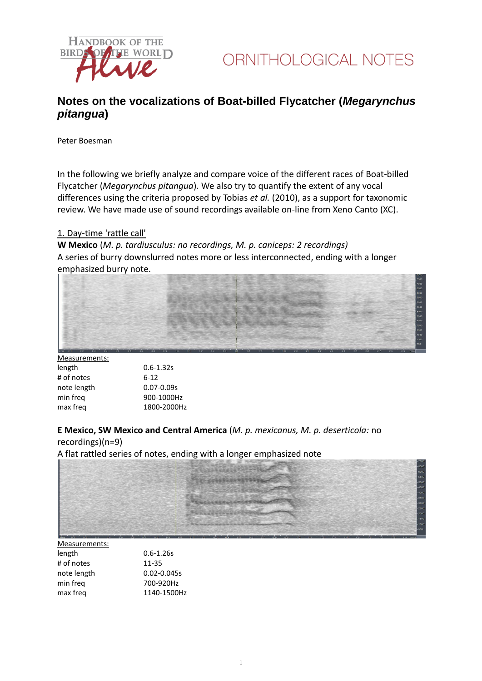

# **Notes on the vocalizations of Boat-billed Flycatcher (***Megarynchus pitangua***)**

Peter Boesman

In the following we briefly analyze and compare voice of the different races of Boat-billed Flycatcher (*Megarynchus pitangua*)*.* We also try to quantify the extent of any vocal differences using the criteria proposed by Tobias *et al.* (2010), as a support for taxonomic review. We have made use of sound recordings available on-line from Xeno Canto (XC).

### 1. Day-time 'rattle call'

**W Mexico** (*M. p. tardiusculus: no recordings, M. p. caniceps: 2 recordings)* A series of burry downslurred notes more or less interconnected, ending with a longer emphasized burry note.



| Measurements: |                |
|---------------|----------------|
| length        | $0.6 - 1.32s$  |
| # of notes    | $6-12$         |
| note length   | $0.07 - 0.09s$ |
| min frea      | 900-1000Hz     |
| max freg      | 1800-2000Hz    |
|               |                |

**E Mexico, SW Mexico and Central America** (*M. p. mexicanus, M. p. deserticola:* no recordings)(n=9)

A flat rattled series of notes, ending with a longer emphasized note



| Measurements: |                 |
|---------------|-----------------|
| length        | $0.6 - 1.26s$   |
| # of notes    | 11-35           |
| note length   | $0.02 - 0.045s$ |
| min frea      | 700-920Hz       |
| max freq      | 1140-1500Hz     |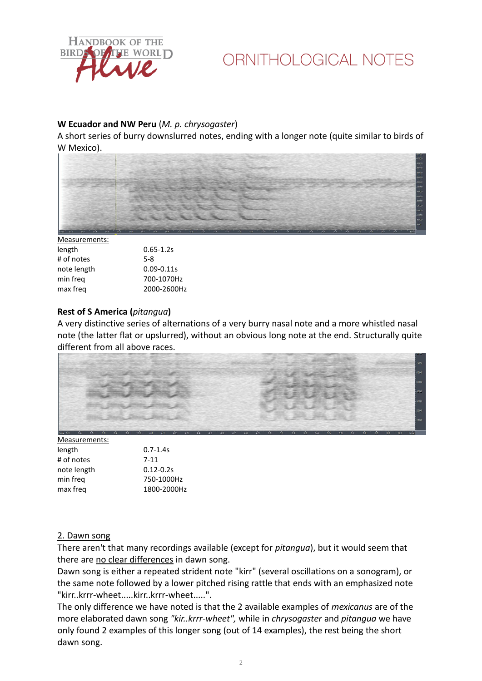

# ORNITHOLOGICAL NOTES

# **W Ecuador and NW Peru** (*M. p. chrysogaster*)

A short series of burry downslurred notes, ending with a longer note (quite similar to birds of W Mexico).

|                                                                                                                      | <b><i><u>PARK AND POINT OF REAL PROPERTY.</u></i></b> |
|----------------------------------------------------------------------------------------------------------------------|-------------------------------------------------------|
|                                                                                                                      | $-7600$                                               |
| --                                                                                                                   | $-7000$                                               |
|                                                                                                                      | $-0000 -$                                             |
| œ                                                                                                                    | $- 6000$                                              |
|                                                                                                                      | $-5500$                                               |
|                                                                                                                      | $-0000 -$                                             |
|                                                                                                                      | $-4500$                                               |
|                                                                                                                      | $-4000$                                               |
| e de la partie de la partie de la partie de la partie de la partie de la partie de la partie de la partie de la<br>e | $-3500$<br>$-3000$                                    |
|                                                                                                                      | $-2500$                                               |
| $-$<br>۰                                                                                                             | 2000                                                  |
| -<br>œ.                                                                                                              | $-1500$                                               |
| $\overline{\phantom{a}}$<br>-<br>-<br>×<br>-<br>٠                                                                    | $-1000$                                               |
|                                                                                                                      | $-500$                                                |
|                                                                                                                      |                                                       |
| 2.8<br>0.7<br>0.9<br>100<br>2.81<br>2.7.<br>n'e<br>O <sub>c</sub><br>0.8<br>O.S.<br>hms                              | hms                                                   |

Measurements:

| length      | $0.65 - 1.2s$  |
|-------------|----------------|
| # of notes  | $5-8$          |
| note length | $0.09 - 0.11s$ |
| min frea    | 700-1070Hz     |
| max freg    | 2000-2600Hz    |
|             |                |

### **Rest of S America (***pitangua***)**

A very distinctive series of alternations of a very burry nasal note and a more whistled nasal note (the latter flat or upslurred), without an obvious long note at the end. Structurally quite different from all above races.



| $0.7 - 1.4s$  |
|---------------|
| $7 - 11$      |
| $0.12 - 0.2s$ |
| 750-1000Hz    |
| 1800-2000Hz   |
|               |

# 2. Dawn song

There aren't that many recordings available (except for *pitangua*), but it would seem that there are no clear differences in dawn song.

Dawn song is either a repeated strident note "kirr" (several oscillations on a sonogram), or the same note followed by a lower pitched rising rattle that ends with an emphasized note "kirr..krrr-wheet.....kirr..krrr-wheet.....".

The only difference we have noted is that the 2 available examples of *mexicanus* are of the more elaborated dawn song *"kir..krrr-wheet",* while in *chrysogaster* and *pitangua* we have only found 2 examples of this longer song (out of 14 examples), the rest being the short dawn song.